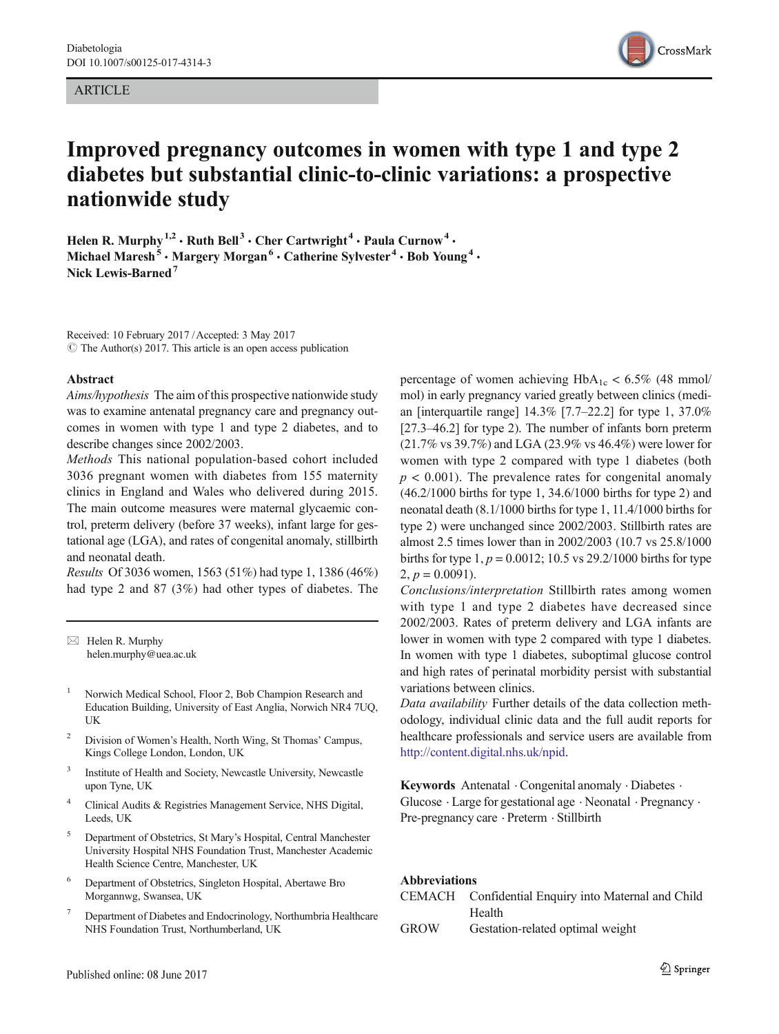ARTICLE



# Improved pregnancy outcomes in women with type 1 and type 2 diabetes but substantial clinic-to-clinic variations: a prospective nationwide study

Helen R. Murphy<sup>1,2</sup>  $\cdot$  Ruth Bell<sup>3</sup>  $\cdot$  Cher Cartwright<sup>4</sup>  $\cdot$  Paula Curnow<sup>4</sup>  $\cdot$ Michael Maresh<sup>5</sup> • Margery Morgan<sup>6</sup> • Catherine Sylvester<sup>4</sup> • Bob Young<sup>4</sup> • Nick Lewis-Barned<sup>7</sup>

Received: 10 February 2017 /Accepted: 3 May 2017  $\odot$  The Author(s) 2017. This article is an open access publication

#### Abstract

Aims/hypothesis The aim of this prospective nationwide study was to examine antenatal pregnancy care and pregnancy outcomes in women with type 1 and type 2 diabetes, and to describe changes since 2002/2003.

Methods This national population-based cohort included 3036 pregnant women with diabetes from 155 maternity clinics in England and Wales who delivered during 2015. The main outcome measures were maternal glycaemic control, preterm delivery (before 37 weeks), infant large for gestational age (LGA), and rates of congenital anomaly, stillbirth and neonatal death.

Results Of 3036 women, 1563 (51%) had type 1, 1386 (46%) had type 2 and 87 (3%) had other types of diabetes. The

 $\boxtimes$  Helen R. Murphy [helen.murphy@uea.ac.uk](mailto:helen.murphy@uea.ac.uk)

- <sup>1</sup> Norwich Medical School, Floor 2, Bob Champion Research and Education Building, University of East Anglia, Norwich NR4 7UQ, UK
- <sup>2</sup> Division of Women's Health, North Wing, St Thomas' Campus, Kings College London, London, UK
- <sup>3</sup> Institute of Health and Society, Newcastle University, Newcastle upon Tyne, UK
- <sup>4</sup> Clinical Audits & Registries Management Service, NHS Digital, Leeds, UK
- <sup>5</sup> Department of Obstetrics, St Mary's Hospital, Central Manchester University Hospital NHS Foundation Trust, Manchester Academic Health Science Centre, Manchester, UK
- <sup>6</sup> Department of Obstetrics, Singleton Hospital, Abertawe Bro Morgannwg, Swansea, UK
- <sup>7</sup> Department of Diabetes and Endocrinology, Northumbria Healthcare NHS Foundation Trust, Northumberland, UK

percentage of women achieving  $HbA_{1c} < 6.5\%$  (48 mmol/ mol) in early pregnancy varied greatly between clinics (median [interquartile range] 14.3% [7.7–22.2] for type 1, 37.0% [27.3–46.2] for type 2). The number of infants born preterm (21.7% vs 39.7%) and LGA (23.9% vs 46.4%) were lower for women with type 2 compared with type 1 diabetes (both  $p < 0.001$ ). The prevalence rates for congenital anomaly (46.2/1000 births for type 1, 34.6/1000 births for type 2) and neonatal death (8.1/1000 births for type 1, 11.4/1000 births for type 2) were unchanged since 2002/2003. Stillbirth rates are almost 2.5 times lower than in 2002/2003 (10.7 vs 25.8/1000 births for type 1,  $p = 0.0012$ ; 10.5 vs 29.2/1000 births for type  $2, p = 0.0091$ .

Conclusions/interpretation Stillbirth rates among women with type 1 and type 2 diabetes have decreased since 2002/2003. Rates of preterm delivery and LGA infants are lower in women with type 2 compared with type 1 diabetes. In women with type 1 diabetes, suboptimal glucose control and high rates of perinatal morbidity persist with substantial variations between clinics.

Data availability Further details of the data collection methodology, individual clinic data and the full audit reports for healthcare professionals and service users are available from <http://content.digital.nhs.uk/npid>.

Keywords Antenatal . Congenital anomaly . Diabetes . Glucose . Large for gestational age . Neonatal . Pregnancy . Pre-pregnancy care . Preterm . Stillbirth

## Abbreviations

|             | CEMACH Confidential Enquiry into Maternal and Child |
|-------------|-----------------------------------------------------|
|             | Health                                              |
| <b>GROW</b> | Gestation-related optimal weight                    |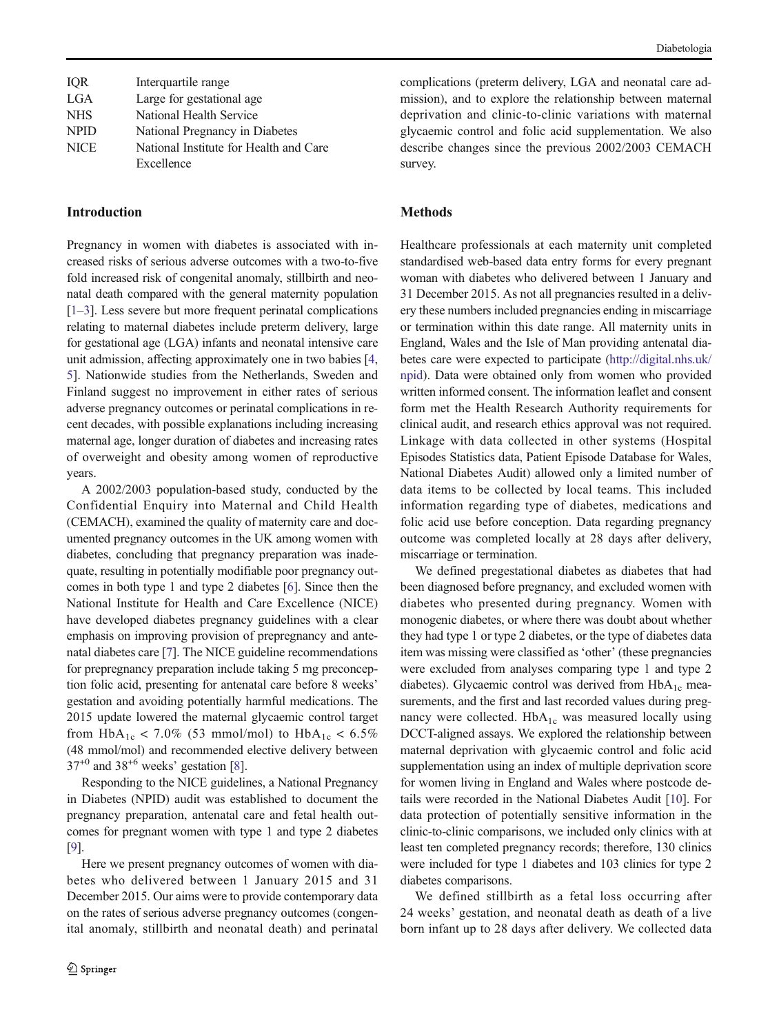| IQR         | Interquartile range                    |
|-------------|----------------------------------------|
| <b>LGA</b>  | Large for gestational age              |
| <b>NHS</b>  | National Health Service                |
| <b>NPID</b> | National Pregnancy in Diabetes         |
| <b>NICE</b> | National Institute for Health and Care |
|             | Excellence                             |

#### Introduction

Pregnancy in women with diabetes is associated with increased risks of serious adverse outcomes with a two-to-five fold increased risk of congenital anomaly, stillbirth and neonatal death compared with the general maternity population [\[1](#page-8-0)–[3\]](#page-8-0). Less severe but more frequent perinatal complications relating to maternal diabetes include preterm delivery, large for gestational age (LGA) infants and neonatal intensive care unit admission, affecting approximately one in two babies [[4,](#page-8-0) [5\]](#page-8-0). Nationwide studies from the Netherlands, Sweden and Finland suggest no improvement in either rates of serious adverse pregnancy outcomes or perinatal complications in recent decades, with possible explanations including increasing maternal age, longer duration of diabetes and increasing rates of overweight and obesity among women of reproductive years.

A 2002/2003 population-based study, conducted by the Confidential Enquiry into Maternal and Child Health (CEMACH), examined the quality of maternity care and documented pregnancy outcomes in the UK among women with diabetes, concluding that pregnancy preparation was inadequate, resulting in potentially modifiable poor pregnancy outcomes in both type 1 and type 2 diabetes [[6\]](#page-8-0). Since then the National Institute for Health and Care Excellence (NICE) have developed diabetes pregnancy guidelines with a clear emphasis on improving provision of prepregnancy and antenatal diabetes care [\[7\]](#page-8-0). The NICE guideline recommendations for prepregnancy preparation include taking 5 mg preconception folic acid, presenting for antenatal care before 8 weeks' gestation and avoiding potentially harmful medications. The 2015 update lowered the maternal glycaemic control target from  $HbA_{1c}$  < 7.0% (53 mmol/mol) to  $HbA_{1c}$  < 6.5% (48 mmol/mol) and recommended elective delivery between  $37^{+0}$  and  $38^{+6}$  weeks' gestation [[8\]](#page-8-0).

Responding to the NICE guidelines, a National Pregnancy in Diabetes (NPID) audit was established to document the pregnancy preparation, antenatal care and fetal health outcomes for pregnant women with type 1 and type 2 diabetes [\[9](#page-8-0)].

Here we present pregnancy outcomes of women with diabetes who delivered between 1 January 2015 and 31 December 2015. Our aims were to provide contemporary data on the rates of serious adverse pregnancy outcomes (congenital anomaly, stillbirth and neonatal death) and perinatal complications (preterm delivery, LGA and neonatal care admission), and to explore the relationship between maternal deprivation and clinic-to-clinic variations with maternal glycaemic control and folic acid supplementation. We also describe changes since the previous 2002/2003 CEMACH survey.

## **Methods**

Healthcare professionals at each maternity unit completed standardised web-based data entry forms for every pregnant woman with diabetes who delivered between 1 January and 31 December 2015. As not all pregnancies resulted in a delivery these numbers included pregnancies ending in miscarriage or termination within this date range. All maternity units in England, Wales and the Isle of Man providing antenatal diabetes care were expected to participate [\(http://digital.nhs.uk/](http://digital.nhs.uk/npid) [npid](http://digital.nhs.uk/npid)). Data were obtained only from women who provided written informed consent. The information leaflet and consent form met the Health Research Authority requirements for clinical audit, and research ethics approval was not required. Linkage with data collected in other systems (Hospital Episodes Statistics data, Patient Episode Database for Wales, National Diabetes Audit) allowed only a limited number of data items to be collected by local teams. This included information regarding type of diabetes, medications and folic acid use before conception. Data regarding pregnancy outcome was completed locally at 28 days after delivery, miscarriage or termination.

We defined pregestational diabetes as diabetes that had been diagnosed before pregnancy, and excluded women with diabetes who presented during pregnancy. Women with monogenic diabetes, or where there was doubt about whether they had type 1 or type 2 diabetes, or the type of diabetes data item was missing were classified as 'other' (these pregnancies were excluded from analyses comparing type 1 and type 2 diabetes). Glycaemic control was derived from  $HbA_{1c}$  measurements, and the first and last recorded values during pregnancy were collected.  $HbA_{1c}$  was measured locally using DCCT-aligned assays. We explored the relationship between maternal deprivation with glycaemic control and folic acid supplementation using an index of multiple deprivation score for women living in England and Wales where postcode details were recorded in the National Diabetes Audit [\[10\]](#page-8-0). For data protection of potentially sensitive information in the clinic-to-clinic comparisons, we included only clinics with at least ten completed pregnancy records; therefore, 130 clinics were included for type 1 diabetes and 103 clinics for type 2 diabetes comparisons.

We defined stillbirth as a fetal loss occurring after 24 weeks' gestation, and neonatal death as death of a live born infant up to 28 days after delivery. We collected data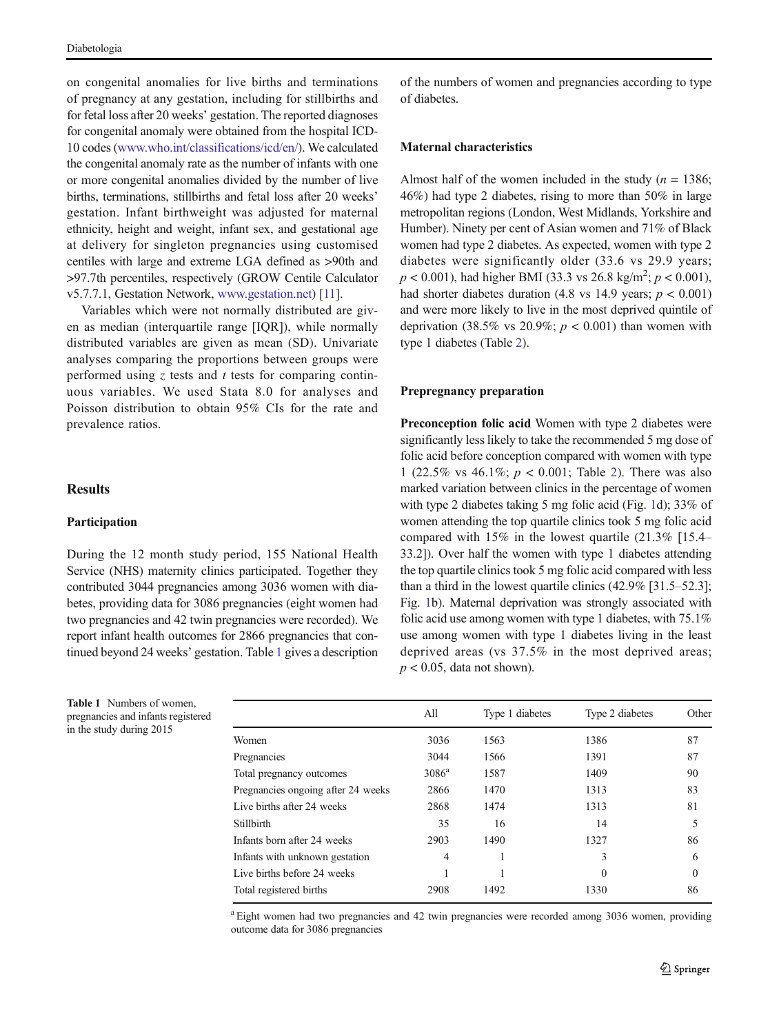on congenital anomalies for live births and terminations of pregnancy at any gestation, including for stillbirths and for fetal loss after 20 weeks' gestation. The reported diagnoses for congenital anomaly were obtained from the hospital ICD-10 codes [\(www.who.int/classifications/icd/en/\)](http://www.who.int/classifications/icd/en). We calculated the congenital anomaly rate as the number of infants with one or more congenital anomalies divided by the number of live births, terminations, stillbirths and fetal loss after 20 weeks' gestation. Infant birthweight was adjusted for maternal ethnicity, height and weight, infant sex, and gestational age at delivery for singleton pregnancies using customised centiles with large and extreme LGA defined as >90th and >97.7th percentiles, respectively (GROW Centile Calculator v5.7.7.1, Gestation Network, [www.gestation.net](http://www.gestation.net)) [\[11\]](#page-8-0).

Variables which were not normally distributed are given as median (interquartile range [IQR]), while normally distributed variables are given as mean (SD). Univariate analyses comparing the proportions between groups were performed using  $\zeta$  tests and  $t$  tests for comparing continuous variables. We used Stata 8.0 for analyses and Poisson distribution to obtain 95% CIs for the rate and prevalence ratios.

### **Results**

# Participation

During the 12 month study period, 155 National Health Service (NHS) maternity clinics participated. Together they contributed 3044 pregnancies among 3036 women with diabetes, providing data for 3086 pregnancies (eight women had two pregnancies and 42 twin pregnancies were recorded). We report infant health outcomes for 2866 pregnancies that continued beyond 24 weeks' gestation. Table 1 gives a description

Table 1 Numbers of women. pregnancies and infants registered in the study during 2015

of the numbers of women and pregnancies according to type of diabetes.

#### Maternal characteristics

Almost half of the women included in the study ( $n = 1386$ ; 46%) had type 2 diabetes, rising to more than 50% in large metropolitan regions (London, West Midlands, Yorkshire and Humber). Ninety per cent of Asian women and 71% of Black women had type 2 diabetes. As expected, women with type 2 diabetes were significantly older (33.6 vs 29.9 years;  $p < 0.001$ ), had higher BMI (33.3 vs 26.8 kg/m<sup>2</sup>;  $p < 0.001$ ), had shorter diabetes duration (4.8 vs 14.9 years;  $p < 0.001$ ) and were more likely to live in the most deprived quintile of deprivation (38.5% vs 20.9%;  $p < 0.001$ ) than women with type 1 diabetes (Table [2](#page-3-0)).

### Prepregnancy preparation

Preconception folic acid Women with type 2 diabetes were significantly less likely to take the recommended 5 mg dose of folic acid before conception compared with women with type 1 ([2](#page-3-0)2.5% vs 46.1%;  $p < 0.001$ ; Table 2). There was also marked variation between clinics in the percentage of women with type 2 diabetes taking 5 mg folic acid (Fig. [1](#page-4-0)d); 33% of women attending the top quartile clinics took 5 mg folic acid compared with 15% in the lowest quartile (21.3% [15.4– 33.2]). Over half the women with type 1 diabetes attending the top quartile clinics took 5 mg folic acid compared with less than a third in the lowest quartile clinics (42.9% [31.5–52.3]; Fig. [1b](#page-4-0)). Maternal deprivation was strongly associated with folic acid use among women with type 1 diabetes, with 75.1% use among women with type 1 diabetes living in the least deprived areas (vs 37.5% in the most deprived areas;  $p < 0.05$ , data not shown).

|                                    | All            | Type 1 diabetes | Type 2 diabetes | Other    |
|------------------------------------|----------------|-----------------|-----------------|----------|
| Women                              | 3036           | 1563            | 1386            | 87       |
| Pregnancies                        | 3044           | 1566            | 1391            | 87       |
| Total pregnancy outcomes           | $3086^a$       | 1587            | 1409            | 90       |
| Pregnancies ongoing after 24 weeks | 2866           | 1470            | 1313            | 83       |
| Live births after 24 weeks         | 2868           | 1474            | 1313            | 81       |
| Stillbirth                         | 35             | 16              | 14              | 5        |
| Infants born after 24 weeks        | 2903           | 1490            | 1327            | 86       |
| Infants with unknown gestation     | $\overline{4}$ |                 | 3               | 6        |
| Live births before 24 weeks        |                |                 | $\theta$        | $\Omega$ |
| Total registered births            | 2908           | 1492            | 1330            | 86       |

<sup>a</sup> Eight women had two pregnancies and 42 twin pregnancies were recorded among 3036 women, providing outcome data for 3086 pregnancies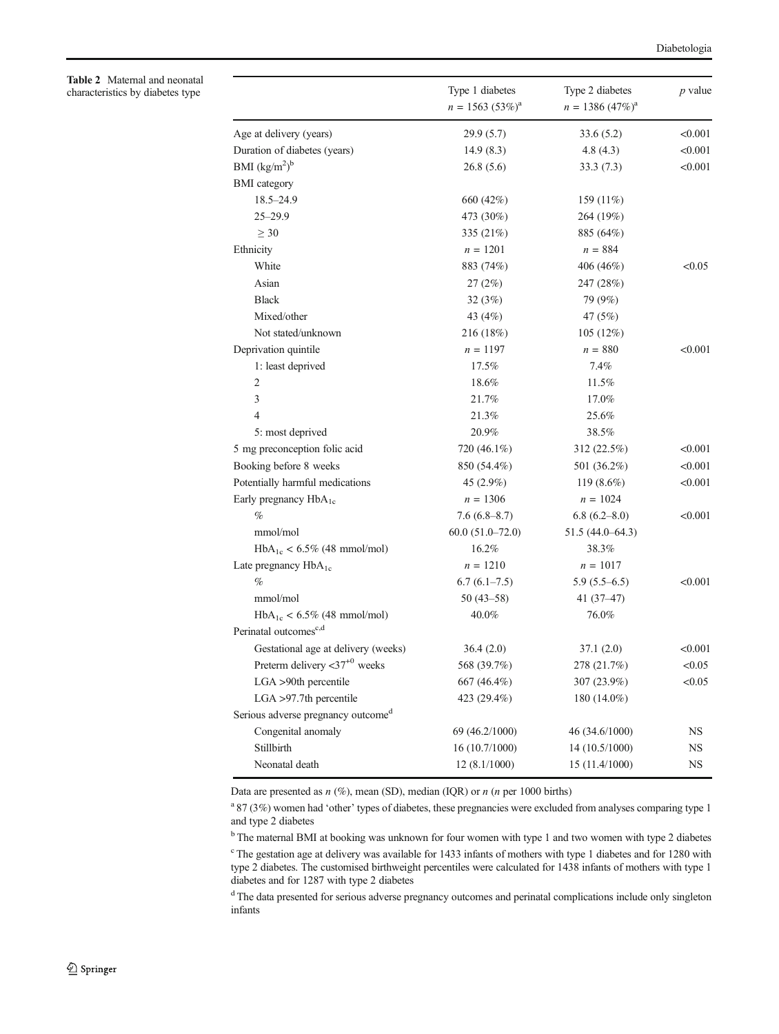<span id="page-3-0"></span>

| <b>Table 2</b> Maternal and neonatal |  |  |  |
|--------------------------------------|--|--|--|
| characteristics by diabetes type     |  |  |  |

| characteristics by diabetes type |                                                | Type 1 diabetes<br>$n = 1563 (53\%)^a$ | Type 2 diabetes<br>$n = 1386 (47\%)^a$ | $p$ value |
|----------------------------------|------------------------------------------------|----------------------------------------|----------------------------------------|-----------|
|                                  | Age at delivery (years)                        | 29.9(5.7)                              | 33.6(5.2)                              | < 0.001   |
|                                  | Duration of diabetes (years)                   | 14.9(8.3)                              | 4.8(4.3)                               | < 0.001   |
|                                  | BMI $(kg/m2)b$                                 | 26.8(5.6)                              | 33.3(7.3)                              | < 0.001   |
|                                  | <b>BMI</b> category                            |                                        |                                        |           |
|                                  | $18.5 - 24.9$                                  | 660 (42%)                              | 159 $(11\%)$                           |           |
|                                  | $25 - 29.9$                                    | 473 (30%)                              | 264 (19%)                              |           |
|                                  | $\geq 30$                                      | 335 (21%)                              | 885 (64%)                              |           |
|                                  | Ethnicity                                      | $n = 1201$                             | $n = 884$                              |           |
|                                  | White                                          | 883 (74%)                              | 406 (46%)                              | < 0.05    |
|                                  | Asian                                          | 27(2%)                                 | 247 (28%)                              |           |
|                                  | <b>Black</b>                                   | 32(3%)                                 | 79 (9%)                                |           |
|                                  | Mixed/other                                    | 43 (4%)                                | 47 $(5%)$                              |           |
|                                  | Not stated/unknown                             | 216 (18%)                              | 105 (12%)                              |           |
|                                  | Deprivation quintile                           | $n = 1197$                             | $n = 880$                              | < 0.001   |
|                                  | 1: least deprived                              | 17.5%                                  | 7.4%                                   |           |
|                                  | 2                                              | 18.6%                                  | 11.5%                                  |           |
|                                  | 3                                              | 21.7%                                  | 17.0%                                  |           |
|                                  | 4                                              | 21.3%                                  | 25.6%                                  |           |
|                                  | 5: most deprived                               | 20.9%                                  | 38.5%                                  |           |
|                                  | 5 mg preconception folic acid                  | 720 (46.1%)                            | 312 (22.5%)                            | < 0.001   |
|                                  | Booking before 8 weeks                         | 850 (54.4%)                            | 501 (36.2%)                            | < 0.001   |
|                                  | Potentially harmful medications                | 45 (2.9%)                              | 119 (8.6%)                             | < 0.001   |
|                                  | Early pregnancy HbA <sub>1c</sub>              | $n = 1306$                             | $n = 1024$                             |           |
|                                  | %                                              | $7.6(6.8 - 8.7)$                       | $6.8(6.2 - 8.0)$                       | < 0.001   |
|                                  | mmol/mol                                       | $60.0(51.0-72.0)$                      | $51.5(44.0 - 64.3)$                    |           |
|                                  | $HbA_{1c} < 6.5\%$ (48 mmol/mol)               | 16.2%                                  | 38.3%                                  |           |
|                                  | Late pregnancy HbA <sub>1c</sub>               | $n = 1210$                             | $n = 1017$                             |           |
|                                  | $\%$                                           | $6.7(6.1-7.5)$                         | $5.9(5.5-6.5)$                         | < 0.001   |
|                                  | mmol/mol                                       | $50(43 - 58)$                          | $41(37-47)$                            |           |
|                                  | $HbA_{1c} < 6.5\%$ (48 mmol/mol)               | 40.0%                                  | 76.0%                                  |           |
|                                  | Perinatal outcomes <sup>c,d</sup>              |                                        |                                        |           |
|                                  | Gestational age at delivery (weeks)            | 36.4(2.0)                              | 37.1(2.0)                              | < 0.001   |
|                                  | Preterm delivery $<$ 37 <sup>+0</sup> weeks    | 568 (39.7%)                            | 278 (21.7%)                            | < 0.05    |
|                                  | LGA >90th percentile                           | 667 (46.4%)                            | 307 (23.9%)                            | < 0.05    |
|                                  | LGA >97.7th percentile                         | 423 (29.4%)                            | 180 (14.0%)                            |           |
|                                  | Serious adverse pregnancy outcome <sup>d</sup> |                                        |                                        |           |
|                                  | Congenital anomaly                             | 69 (46.2/1000)                         | 46 (34.6/1000)                         | <b>NS</b> |
|                                  | Stillbirth                                     | 16 (10.7/1000)                         | 14 (10.5/1000)                         | <b>NS</b> |
|                                  | Neonatal death                                 | 12 (8.1/1000)                          | 15 (11.4/1000)                         | NS        |

Data are presented as  $n$  (%), mean (SD), median (IQR) or  $n$  ( $n$  per 1000 births)

<sup>a</sup> 87 (3%) women had 'other' types of diabetes, these pregnancies were excluded from analyses comparing type 1 and type 2 diabetes

<sup>b</sup> The maternal BMI at booking was unknown for four women with type 1 and two women with type 2 diabetes

<sup>c</sup> The gestation age at delivery was available for 1433 infants of mothers with type 1 diabetes and for 1280 with type 2 diabetes. The customised birthweight percentiles were calculated for 1438 infants of mothers with type 1 diabetes and for 1287 with type 2 diabetes

<sup>d</sup> The data presented for serious adverse pregnancy outcomes and perinatal complications include only singleton infants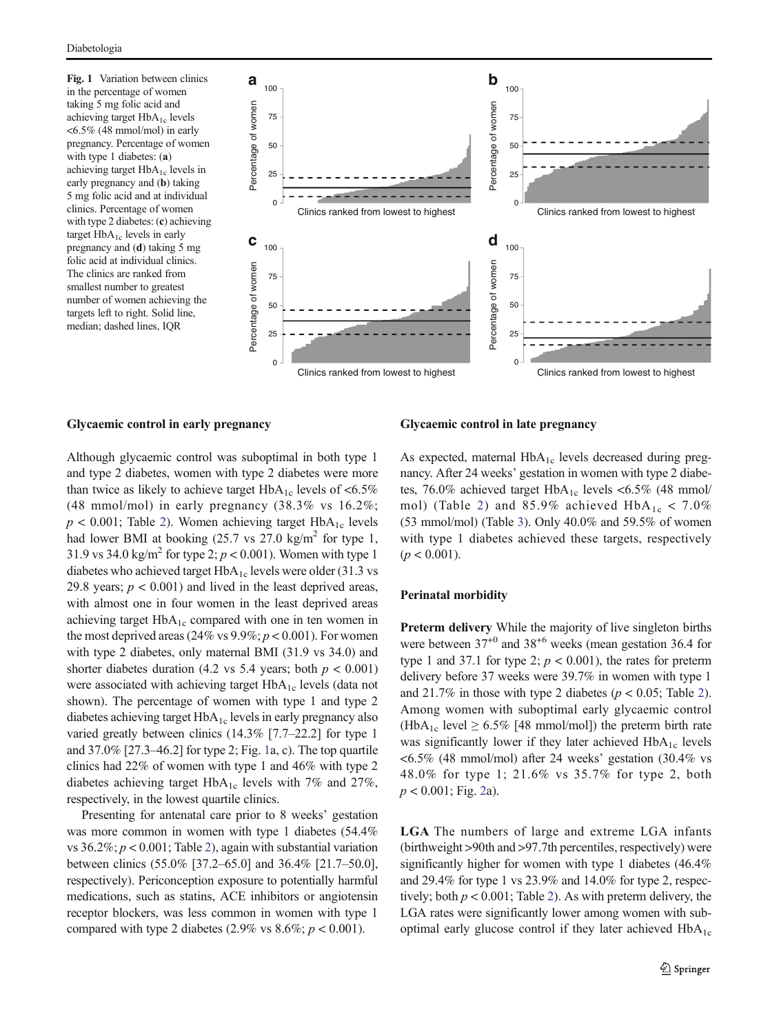<span id="page-4-0"></span>Fig. 1 Variation between clinics in the percentage of women taking 5 mg folic acid and achieving target  $HbA_{1c}$  levels <6.5% (48 mmol/mol) in early pregnancy. Percentage of women with type 1 diabetes: (a) achieving target  $HbA_{1c}$  levels in early pregnancy and (b) taking 5 mg folic acid and at individual clinics. Percentage of women with type 2 diabetes: (c) achieving target  $HbA_{1c}$  levels in early pregnancy and (d) taking 5 mg folic acid at individual clinics. The clinics are ranked from smallest number to greatest number of women achieving the targets left to right. Solid line, median; dashed lines, IQR



#### Glycaemic control in early pregnancy

Although glycaemic control was suboptimal in both type 1 and type 2 diabetes, women with type 2 diabetes were more than twice as likely to achieve target  $HbA_{1c}$  levels of <6.5% (48 mmol/mol) in early pregnancy (38.3% vs 16.2%;  $p < 0.001$ ; Table [2](#page-3-0)). Women achieving target HbA<sub>1c</sub> levels had lower BMI at booking  $(25.7 \text{ vs } 27.0 \text{ kg/m}^2 \text{ for type } 1,$ 31.9 vs 34.0 kg/m<sup>2</sup> for type 2;  $p < 0.001$ ). Women with type 1 diabetes who achieved target  $HbA_{1c}$  levels were older (31.3 vs 29.8 years;  $p < 0.001$ ) and lived in the least deprived areas, with almost one in four women in the least deprived areas achieving target  $HbA_{1c}$  compared with one in ten women in the most deprived areas (24% vs  $9.9\%$ ;  $p < 0.001$ ). For women with type 2 diabetes, only maternal BMI (31.9 vs 34.0) and shorter diabetes duration (4.2 vs 5.4 years; both  $p < 0.001$ ) were associated with achieving target  $HbA_{1c}$  levels (data not shown). The percentage of women with type 1 and type 2 diabetes achieving target  $HbA_{1c}$  levels in early pregnancy also varied greatly between clinics (14.3% [7.7–22.2] for type 1 and 37.0% [27.3–46.2] for type 2; Fig. 1a, c). The top quartile clinics had 22% of women with type 1 and 46% with type 2 diabetes achieving target  $HbA_{1c}$  levels with 7% and 27%, respectively, in the lowest quartile clinics.

Presenting for antenatal care prior to 8 weeks' gestation was more common in women with type 1 diabetes  $(54.4\%$ vs  $36.2\%$ ;  $p < 0.001$ ; Table [2\)](#page-3-0), again with substantial variation between clinics (55.0% [37.2–65.0] and 36.4% [21.7–50.0], respectively). Periconception exposure to potentially harmful medications, such as statins, ACE inhibitors or angiotensin receptor blockers, was less common in women with type 1 compared with type 2 diabetes (2.9% vs  $8.6\%; p < 0.001$ ).

#### Glycaemic control in late pregnancy

As expected, maternal  $HbA_{1c}$  levels decreased during pregnancy. After 24 weeks' gestation in women with type 2 diabetes, 76.0% achieved target  $HbA_{1c}$  levels <6.5% (48 mmol/ mol) (Table [2](#page-3-0)) and 85.9% achieved  $HbA_{1c} < 7.0\%$ (53 mmol/mol) (Table [3\)](#page-5-0). Only 40.0% and 59.5% of women with type 1 diabetes achieved these targets, respectively  $(p < 0.001)$ .

#### Perinatal morbidity

Preterm delivery While the majority of live singleton births were between  $37^{+0}$  and  $38^{+6}$  weeks (mean gestation 36.4 for type 1 and 37.1 for type 2;  $p < 0.001$ ), the rates for preterm delivery before 37 weeks were 39.7% in women with type 1 and 21.7% in those with type 2 diabetes ( $p < 0.05$ ; Table [2\)](#page-3-0). Among women with suboptimal early glycaemic control (HbA<sub>1c</sub> level  $\geq 6.5\%$  [48 mmol/mol]) the preterm birth rate was significantly lower if they later achieved  $HbA_{1c}$  levels <6.5% (48 mmol/mol) after 24 weeks' gestation (30.4% vs 48.0% for type 1; 21.6% vs 35.7% for type 2, both  $p < 0.001$ ; Fig. [2](#page-6-0)a).

LGA The numbers of large and extreme LGA infants (birthweight >90th and >97.7th percentiles, respectively) were significantly higher for women with type 1 diabetes (46.4% and 29.4% for type 1 vs 23.9% and 14.0% for type 2, respectively; both  $p < 0.001$ ; Table [2\)](#page-3-0). As with preterm delivery, the LGA rates were significantly lower among women with suboptimal early glucose control if they later achieved  $HbA_{1c}$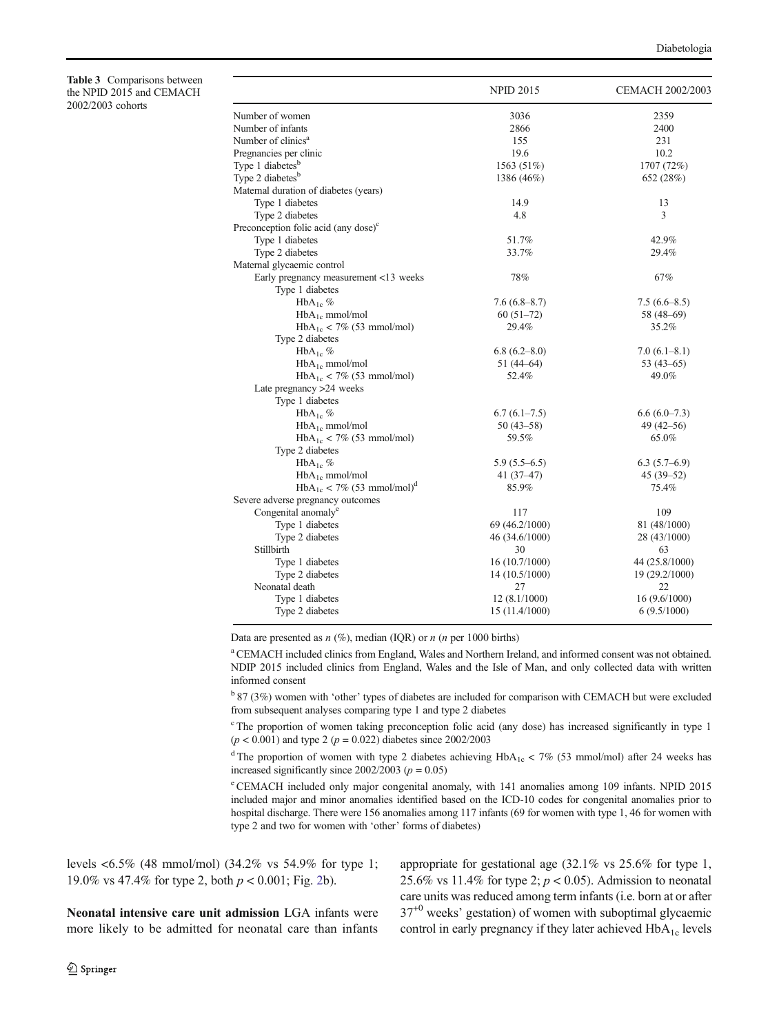<span id="page-5-0"></span>

| <b>Table 3</b> Comparisons between |
|------------------------------------|
| the NPID 2015 and CEMACH           |
| 2002/2003 cohorts                  |

|                                                  | <b>NPID 2015</b> | CEMACH 2002/2003 |
|--------------------------------------------------|------------------|------------------|
| Number of women                                  | 3036             | 2359             |
| Number of infants                                | 2866             | 2400             |
| Number of clinics <sup>a</sup>                   | 155              | 231              |
| Pregnancies per clinic                           | 19.6             | 10.2             |
| Type 1 diabetes <sup>b</sup>                     | 1563 (51%)       | 1707 (72%)       |
| Type 2 diabetes <sup>b</sup>                     | 1386 (46%)       | 652 (28%)        |
| Maternal duration of diabetes (years)            |                  |                  |
| Type 1 diabetes                                  | 14.9             | 13               |
| Type 2 diabetes                                  | 4.8              | 3                |
| Preconception folic acid (any dose) <sup>c</sup> |                  |                  |
| Type 1 diabetes                                  | 51.7%            | 42.9%            |
| Type 2 diabetes                                  | 33.7%            | 29.4%            |
| Maternal glycaemic control                       |                  |                  |
| Early pregnancy measurement <13 weeks            | 78%              | 67%              |
| Type 1 diabetes                                  |                  |                  |
| $HbA_{1c}$ %                                     | $7.6(6.8 - 8.7)$ | $7.5(6.6-8.5)$   |
| $HbA_{1c}$ mmol/mol                              | $60(51-72)$      | 58 (48-69)       |
| $HbA_{1c} < 7\%$ (53 mmol/mol)                   | 29.4%            | 35.2%            |
| Type 2 diabetes                                  |                  |                  |
| $HbA_{1c}$ %                                     | $6.8(6.2 - 8.0)$ | 7.0(6.1–8.1)     |
| $\rm HbA_{1c}$ mmol/mol                          | $51(44-64)$      | 53 $(43-65)$     |
| $HbA_{1c}$ < 7% (53 mmol/mol)                    | 52.4%            | 49.0%            |
| Late pregnancy >24 weeks                         |                  |                  |
| Type 1 diabetes                                  |                  |                  |
| $HbA_{1c}$ %                                     | $6.7(6.1-7.5)$   | $6.6(6.0-7.3)$   |
| $HbA_{1c}$ mmol/mol                              | $50(43-58)$      | $49(42 - 56)$    |
| $HbA_{1c}$ < 7% (53 mmol/mol)                    | 59.5%            | 65.0%            |
| Type 2 diabetes                                  |                  |                  |
| $HbA_{1c}$ %                                     | $5.9(5.5-6.5)$   | $6.3(5.7-6.9)$   |
| $\rm HbA_{1c}$ mmol/mol                          | $41(37-47)$      | $45(39-52)$      |
| $HbA_{1c} < 7\%$ (53 mmol/mol) <sup>d</sup>      | 85.9%            | 75.4%            |
| Severe adverse pregnancy outcomes                |                  |                  |
| Congenital anomaly <sup>e</sup>                  | 117              | 109              |
| Type 1 diabetes                                  | 69 (46.2/1000)   | 81 (48/1000)     |
| Type 2 diabetes                                  | 46 (34.6/1000)   | 28 (43/1000)     |
| Stillbirth                                       | 30               | 63               |
| Type 1 diabetes                                  | 16 (10.7/1000)   | 44 (25.8/1000)   |
| Type 2 diabetes                                  | 14 (10.5/1000)   | 19 (29.2/1000)   |
| Neonatal death                                   | 27               | 22               |
| Type 1 diabetes                                  | 12(8.1/1000)     | 16(9.6/1000)     |
| Type 2 diabetes                                  | 15 (11.4/1000)   | 6(9.5/1000)      |

Data are presented as  $n$  (%), median (IQR) or  $n$  ( $n$  per 1000 births)

<sup>a</sup> CEMACH included clinics from England, Wales and Northern Ireland, and informed consent was not obtained. NDIP 2015 included clinics from England, Wales and the Isle of Man, and only collected data with written informed consent

<sup>b</sup> 87 (3%) women with 'other' types of diabetes are included for comparison with CEMACH but were excluded from subsequent analyses comparing type 1 and type 2 diabetes

<sup>c</sup>The proportion of women taking preconception folic acid (any dose) has increased significantly in type 1  $(p < 0.001)$  and type 2  $(p = 0.022)$  diabetes since 2002/2003

<sup>d</sup> The proportion of women with type 2 diabetes achieving  $HbA_{1c}$  < 7% (53 mmol/mol) after 24 weeks has increased significantly since  $2002/2003$  ( $p = 0.05$ )

eCEMACH included only major congenital anomaly, with 141 anomalies among 109 infants. NPID 2015 included major and minor anomalies identified based on the ICD-10 codes for congenital anomalies prior to hospital discharge. There were 156 anomalies among 117 infants (69 for women with type 1, 46 for women with type 2 and two for women with 'other' forms of diabetes)

levels <6.5% (48 mmol/mol) (34.2% vs 54.9% for type 1; 19.0% vs 47.4% for type [2](#page-6-0), both  $p < 0.001$ ; Fig. 2b).

Neonatal intensive care unit admission LGA infants were more likely to be admitted for neonatal care than infants appropriate for gestational age (32.1% vs 25.6% for type 1, 25.6% vs 11.4% for type 2;  $p < 0.05$ ). Admission to neonatal care units was reduced among term infants (i.e. born at or after  $37<sup>+0</sup>$  weeks' gestation) of women with suboptimal glycaemic control in early pregnancy if they later achieved HbA<sub>1c</sub> levels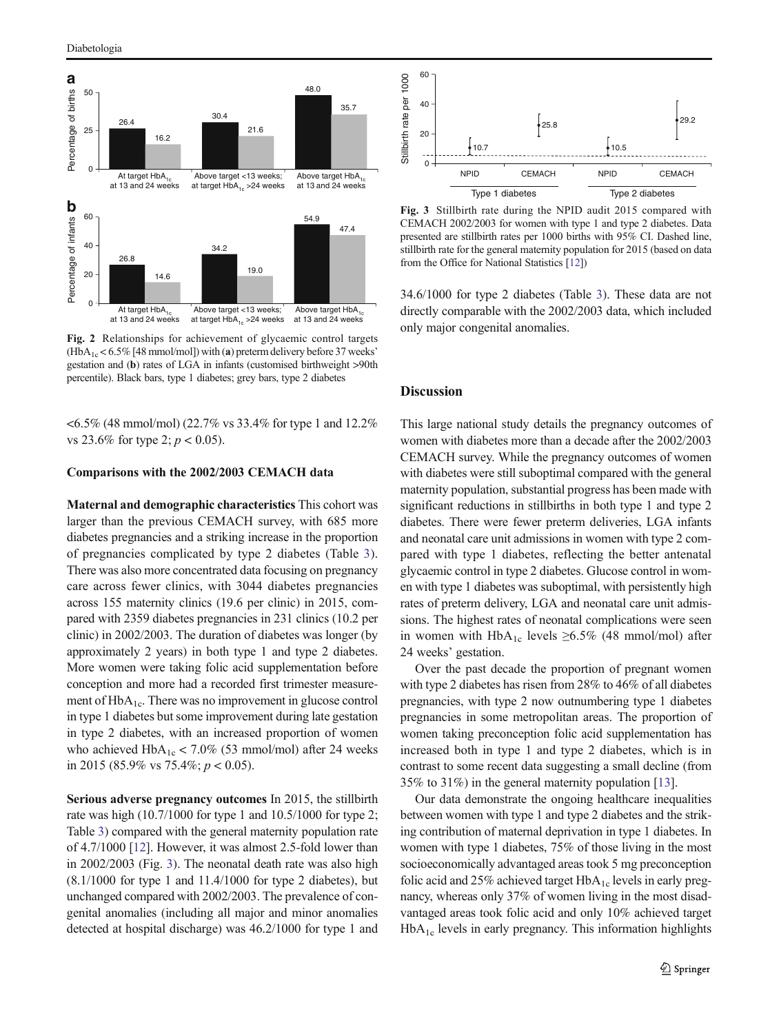<span id="page-6-0"></span>

Fig. 2 Relationships for achievement of glycaemic control targets  $(HbA<sub>1c</sub> < 6.5\%$  [48 mmol/mol]) with (a) preterm delivery before 37 weeks' gestation and (b) rates of LGA in infants (customised birthweight >90th percentile). Black bars, type 1 diabetes; grey bars, type 2 diabetes

 $\leq 6.5\%$  (48 mmol/mol) (22.7% vs 33.4% for type 1 and 12.2% vs 23.6% for type 2;  $p < 0.05$ ).

#### Comparisons with the 2002/2003 CEMACH data

Maternal and demographic characteristics This cohort was larger than the previous CEMACH survey, with 685 more diabetes pregnancies and a striking increase in the proportion of pregnancies complicated by type 2 diabetes (Table [3](#page-5-0)). There was also more concentrated data focusing on pregnancy care across fewer clinics, with 3044 diabetes pregnancies across 155 maternity clinics (19.6 per clinic) in 2015, compared with 2359 diabetes pregnancies in 231 clinics (10.2 per clinic) in 2002/2003. The duration of diabetes was longer (by approximately 2 years) in both type 1 and type 2 diabetes. More women were taking folic acid supplementation before conception and more had a recorded first trimester measurement of  $HbA_{1c}$ . There was no improvement in glucose control in type 1 diabetes but some improvement during late gestation in type 2 diabetes, with an increased proportion of women who achieved  $HbA_{1c}$  < 7.0% (53 mmol/mol) after 24 weeks in 2015 (85.9% vs 75.4%;  $p < 0.05$ ).

Serious adverse pregnancy outcomes In 2015, the stillbirth rate was high (10.7/1000 for type 1 and 10.5/1000 for type 2; Table [3\)](#page-5-0) compared with the general maternity population rate of 4.7/1000 [[12\]](#page-8-0). However, it was almost 2.5-fold lower than in 2002/2003 (Fig. 3). The neonatal death rate was also high  $(8.1/1000$  for type 1 and  $11.4/1000$  for type 2 diabetes), but unchanged compared with 2002/2003. The prevalence of congenital anomalies (including all major and minor anomalies detected at hospital discharge) was 46.2/1000 for type 1 and



Fig. 3 Stillbirth rate during the NPID audit 2015 compared with CEMACH 2002/2003 for women with type 1 and type 2 diabetes. Data presented are stillbirth rates per 1000 births with 95% CI. Dashed line, stillbirth rate for the general maternity population for 2015 (based on data from the Office for National Statistics [\[12\]](#page-8-0))

34.6/1000 for type 2 diabetes (Table [3\)](#page-5-0). These data are not directly comparable with the 2002/2003 data, which included only major congenital anomalies.

#### Discussion

This large national study details the pregnancy outcomes of women with diabetes more than a decade after the 2002/2003 CEMACH survey. While the pregnancy outcomes of women with diabetes were still suboptimal compared with the general maternity population, substantial progress has been made with significant reductions in stillbirths in both type 1 and type 2 diabetes. There were fewer preterm deliveries, LGA infants and neonatal care unit admissions in women with type 2 compared with type 1 diabetes, reflecting the better antenatal glycaemic control in type 2 diabetes. Glucose control in women with type 1 diabetes was suboptimal, with persistently high rates of preterm delivery, LGA and neonatal care unit admissions. The highest rates of neonatal complications were seen in women with HbA<sub>1c</sub> levels  $\geq 6.5\%$  (48 mmol/mol) after 24 weeks' gestation.

Over the past decade the proportion of pregnant women with type 2 diabetes has risen from 28% to 46% of all diabetes pregnancies, with type 2 now outnumbering type 1 diabetes pregnancies in some metropolitan areas. The proportion of women taking preconception folic acid supplementation has increased both in type 1 and type 2 diabetes, which is in contrast to some recent data suggesting a small decline (from 35% to 31%) in the general maternity population [\[13\]](#page-8-0).

Our data demonstrate the ongoing healthcare inequalities between women with type 1 and type 2 diabetes and the striking contribution of maternal deprivation in type 1 diabetes. In women with type 1 diabetes, 75% of those living in the most socioeconomically advantaged areas took 5 mg preconception folic acid and 25% achieved target  $HbA_{1c}$  levels in early pregnancy, whereas only 37% of women living in the most disadvantaged areas took folic acid and only 10% achieved target  $HbA_{1c}$  levels in early pregnancy. This information highlights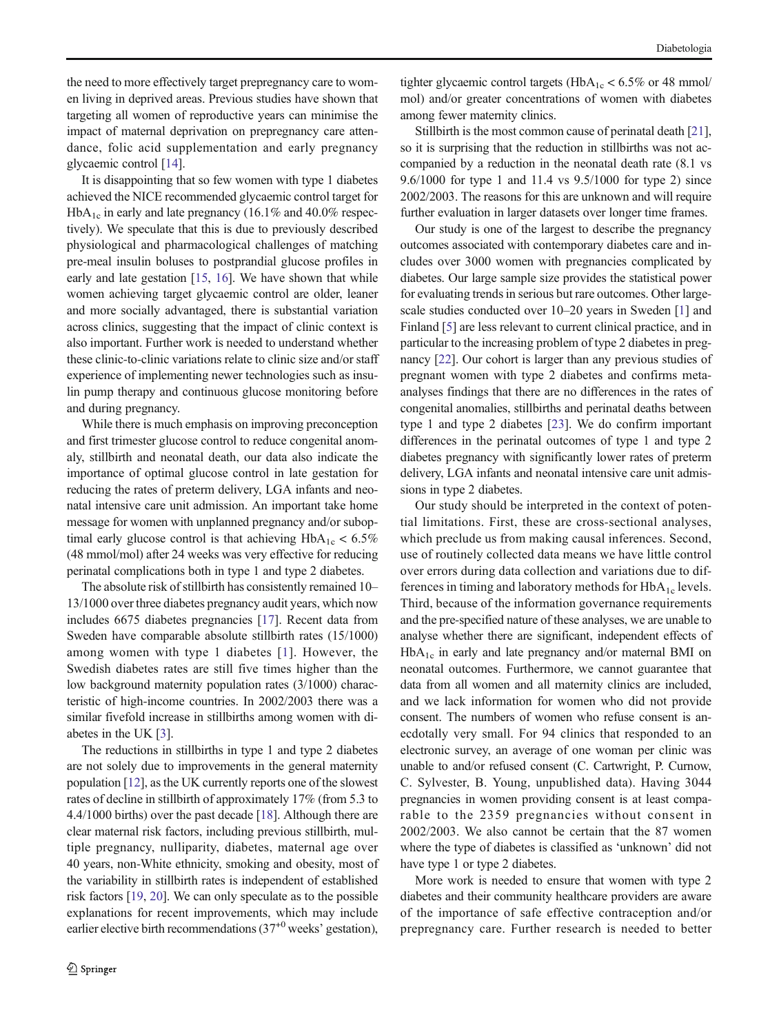the need to more effectively target prepregnancy care to women living in deprived areas. Previous studies have shown that targeting all women of reproductive years can minimise the impact of maternal deprivation on prepregnancy care attendance, folic acid supplementation and early pregnancy glycaemic control [\[14](#page-8-0)].

It is disappointing that so few women with type 1 diabetes achieved the NICE recommended glycaemic control target for  $HbA_{1c}$  in early and late pregnancy (16.1% and 40.0% respectively). We speculate that this is due to previously described physiological and pharmacological challenges of matching pre-meal insulin boluses to postprandial glucose profiles in early and late gestation [\[15,](#page-8-0) [16](#page-8-0)]. We have shown that while women achieving target glycaemic control are older, leaner and more socially advantaged, there is substantial variation across clinics, suggesting that the impact of clinic context is also important. Further work is needed to understand whether these clinic-to-clinic variations relate to clinic size and/or staff experience of implementing newer technologies such as insulin pump therapy and continuous glucose monitoring before and during pregnancy.

While there is much emphasis on improving preconception and first trimester glucose control to reduce congenital anomaly, stillbirth and neonatal death, our data also indicate the importance of optimal glucose control in late gestation for reducing the rates of preterm delivery, LGA infants and neonatal intensive care unit admission. An important take home message for women with unplanned pregnancy and/or suboptimal early glucose control is that achieving  $HbA_{1c} < 6.5\%$ (48 mmol/mol) after 24 weeks was very effective for reducing perinatal complications both in type 1 and type 2 diabetes.

The absolute risk of stillbirth has consistently remained 10– 13/1000 over three diabetes pregnancy audit years, which now includes 6675 diabetes pregnancies [\[17\]](#page-8-0). Recent data from Sweden have comparable absolute stillbirth rates (15/1000) among women with type 1 diabetes [[1\]](#page-8-0). However, the Swedish diabetes rates are still five times higher than the low background maternity population rates (3/1000) characteristic of high-income countries. In 2002/2003 there was a similar fivefold increase in stillbirths among women with diabetes in the UK [\[3](#page-8-0)].

The reductions in stillbirths in type 1 and type 2 diabetes are not solely due to improvements in the general maternity population [[12](#page-8-0)], as the UK currently reports one of the slowest rates of decline in stillbirth of approximately 17% (from 5.3 to 4.4/1000 births) over the past decade [\[18\]](#page-8-0). Although there are clear maternal risk factors, including previous stillbirth, multiple pregnancy, nulliparity, diabetes, maternal age over 40 years, non-White ethnicity, smoking and obesity, most of the variability in stillbirth rates is independent of established risk factors [[19,](#page-8-0) [20](#page-9-0)]. We can only speculate as to the possible explanations for recent improvements, which may include earlier elective birth recommendations  $(37^{+0}$  weeks' gestation),

tighter glycaemic control targets (HbA<sub>1c</sub> <  $6.5\%$  or 48 mmol/ mol) and/or greater concentrations of women with diabetes among fewer maternity clinics.

Stillbirth is the most common cause of perinatal death [[21\]](#page-9-0), so it is surprising that the reduction in stillbirths was not accompanied by a reduction in the neonatal death rate (8.1 vs 9.6/1000 for type 1 and 11.4 vs 9.5/1000 for type 2) since 2002/2003. The reasons for this are unknown and will require further evaluation in larger datasets over longer time frames.

Our study is one of the largest to describe the pregnancy outcomes associated with contemporary diabetes care and includes over 3000 women with pregnancies complicated by diabetes. Our large sample size provides the statistical power for evaluating trends in serious but rare outcomes. Other largescale studies conducted over 10–20 years in Sweden [\[1](#page-8-0)] and Finland [\[5](#page-8-0)] are less relevant to current clinical practice, and in particular to the increasing problem of type 2 diabetes in pregnancy [\[22](#page-9-0)]. Our cohort is larger than any previous studies of pregnant women with type 2 diabetes and confirms metaanalyses findings that there are no differences in the rates of congenital anomalies, stillbirths and perinatal deaths between type 1 and type 2 diabetes [[23\]](#page-9-0). We do confirm important differences in the perinatal outcomes of type 1 and type 2 diabetes pregnancy with significantly lower rates of preterm delivery, LGA infants and neonatal intensive care unit admissions in type 2 diabetes.

Our study should be interpreted in the context of potential limitations. First, these are cross-sectional analyses, which preclude us from making causal inferences. Second, use of routinely collected data means we have little control over errors during data collection and variations due to differences in timing and laboratory methods for  $HbA_{1c}$  levels. Third, because of the information governance requirements and the pre-specified nature of these analyses, we are unable to analyse whether there are significant, independent effects of  $HbA_{1c}$  in early and late pregnancy and/or maternal BMI on neonatal outcomes. Furthermore, we cannot guarantee that data from all women and all maternity clinics are included, and we lack information for women who did not provide consent. The numbers of women who refuse consent is anecdotally very small. For 94 clinics that responded to an electronic survey, an average of one woman per clinic was unable to and/or refused consent (C. Cartwright, P. Curnow, C. Sylvester, B. Young, unpublished data). Having 3044 pregnancies in women providing consent is at least comparable to the 2359 pregnancies without consent in 2002/2003. We also cannot be certain that the 87 women where the type of diabetes is classified as 'unknown' did not have type 1 or type 2 diabetes.

More work is needed to ensure that women with type 2 diabetes and their community healthcare providers are aware of the importance of safe effective contraception and/or prepregnancy care. Further research is needed to better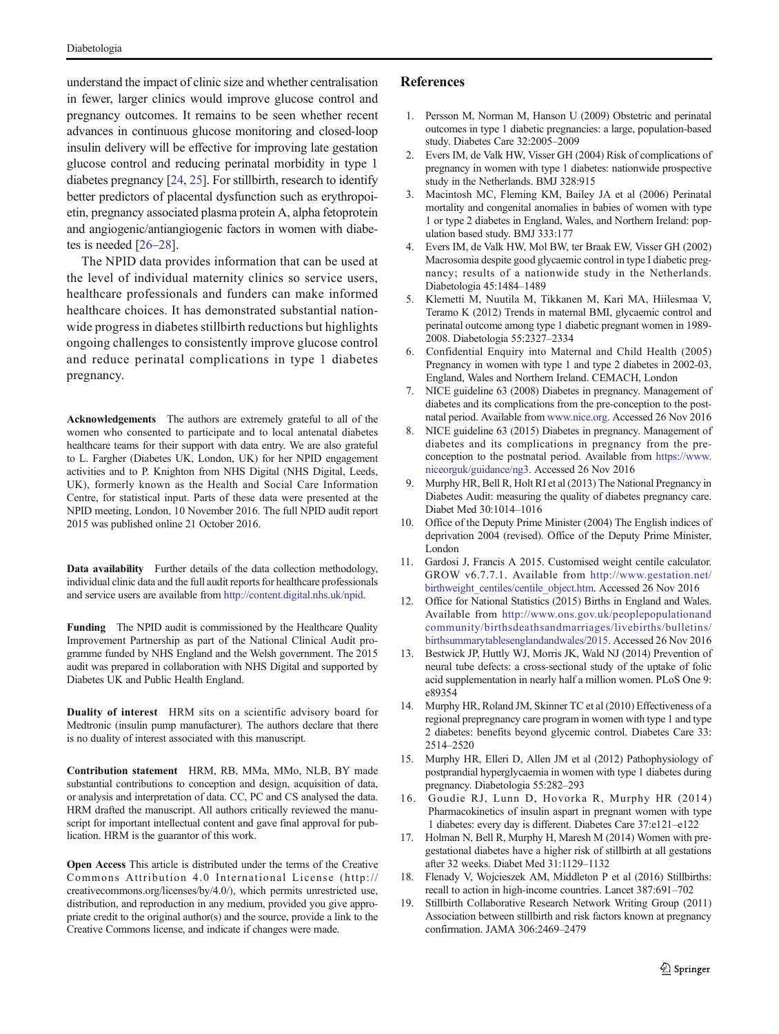<span id="page-8-0"></span>understand the impact of clinic size and whether centralisation in fewer, larger clinics would improve glucose control and pregnancy outcomes. It remains to be seen whether recent advances in continuous glucose monitoring and closed-loop insulin delivery will be effective for improving late gestation glucose control and reducing perinatal morbidity in type 1 diabetes pregnancy [[24](#page-9-0), [25\]](#page-9-0). For stillbirth, research to identify better predictors of placental dysfunction such as erythropoietin, pregnancy associated plasma protein A, alpha fetoprotein and angiogenic/antiangiogenic factors in women with diabetes is needed [[26](#page-9-0)–[28](#page-9-0)].

The NPID data provides information that can be used at the level of individual maternity clinics so service users, healthcare professionals and funders can make informed healthcare choices. It has demonstrated substantial nationwide progress in diabetes stillbirth reductions but highlights ongoing challenges to consistently improve glucose control and reduce perinatal complications in type 1 diabetes pregnancy.

Acknowledgements The authors are extremely grateful to all of the women who consented to participate and to local antenatal diabetes healthcare teams for their support with data entry. We are also grateful to L. Fargher (Diabetes UK, London, UK) for her NPID engagement activities and to P. Knighton from NHS Digital (NHS Digital, Leeds, UK), formerly known as the Health and Social Care Information Centre, for statistical input. Parts of these data were presented at the NPID meeting, London, 10 November 2016. The full NPID audit report 2015 was published online 21 October 2016.

Data availability Further details of the data collection methodology, individual clinic data and the full audit reports for healthcare professionals and service users are available from [http://content.digital.nhs.uk/npid.](http://content.digital.nhs.uk/npid)

Funding The NPID audit is commissioned by the Healthcare Quality Improvement Partnership as part of the National Clinical Audit programme funded by NHS England and the Welsh government. The 2015 audit was prepared in collaboration with NHS Digital and supported by Diabetes UK and Public Health England.

Duality of interest HRM sits on a scientific advisory board for Medtronic (insulin pump manufacturer). The authors declare that there is no duality of interest associated with this manuscript.

Contribution statement HRM, RB, MMa, MMo, NLB, BY made substantial contributions to conception and design, acquisition of data, or analysis and interpretation of data. CC, PC and CS analysed the data. HRM drafted the manuscript. All authors critically reviewed the manuscript for important intellectual content and gave final approval for publication. HRM is the guarantor of this work.

Open Access This article is distributed under the terms of the Creative Commons Attribution 4.0 International License (http:// creativecommons.org/licenses/by/4.0/), which permits unrestricted use, distribution, and reproduction in any medium, provided you give appropriate credit to the original author(s) and the source, provide a link to the Creative Commons license, and indicate if changes were made.

#### References

- 1. Persson M, Norman M, Hanson U (2009) Obstetric and perinatal outcomes in type 1 diabetic pregnancies: a large, population-based study. Diabetes Care 32:2005–2009
- 2. Evers IM, de Valk HW, Visser GH (2004) Risk of complications of pregnancy in women with type 1 diabetes: nationwide prospective study in the Netherlands. BMJ 328:915
- 3. Macintosh MC, Fleming KM, Bailey JA et al (2006) Perinatal mortality and congenital anomalies in babies of women with type 1 or type 2 diabetes in England, Wales, and Northern Ireland: population based study. BMJ 333:177
- 4. Evers IM, de Valk HW, Mol BW, ter Braak EW, Visser GH (2002) Macrosomia despite good glycaemic control in type I diabetic pregnancy; results of a nationwide study in the Netherlands. Diabetologia 45:1484–1489
- 5. Klemetti M, Nuutila M, Tikkanen M, Kari MA, Hiilesmaa V, Teramo K (2012) Trends in maternal BMI, glycaemic control and perinatal outcome among type 1 diabetic pregnant women in 1989- 2008. Diabetologia 55:2327–2334
- 6. Confidential Enquiry into Maternal and Child Health (2005) Pregnancy in women with type 1 and type 2 diabetes in 2002-03, England, Wales and Northern Ireland. CEMACH, London
- 7. NICE guideline 63 (2008) Diabetes in pregnancy. Management of diabetes and its complications from the pre-conception to the postnatal period. Available from [www.nice.org](http://www.nice.org/). Accessed 26 Nov 2016
- NICE guideline 63 (2015) Diabetes in pregnancy. Management of diabetes and its complications in pregnancy from the preconception to the postnatal period. Available from [https://www.](https://www.niceorguk/guidance/ng3) [niceorguk/guidance/ng3](https://www.niceorguk/guidance/ng3). Accessed 26 Nov 2016
- 9. Murphy HR, Bell R, Holt RI et al (2013) The National Pregnancy in Diabetes Audit: measuring the quality of diabetes pregnancy care. Diabet Med 30:1014–1016
- 10. Office of the Deputy Prime Minister (2004) The English indices of deprivation 2004 (revised). Office of the Deputy Prime Minister, London
- 11. Gardosi J, Francis A 2015. Customised weight centile calculator. GROW v6.7.7.1. Available from [http://www.gestation.net/](http://www.gestation.net/birthweight_centiles/centile_object.htm) [birthweight\\_centiles/centile\\_object.htm.](http://www.gestation.net/birthweight_centiles/centile_object.htm) Accessed 26 Nov 2016
- 12. Office for National Statistics (2015) Births in England and Wales. Available from [http://www.ons.gov.uk/peoplepopulationand](http://dx.doi.org/) [community/birthsdeathsandmarriages/livebirths/bulletins/](http://dx.doi.org/) [birthsummarytablesenglandandwales/2015](http://dx.doi.org/). Accessed 26 Nov 2016
- 13. Bestwick JP, Huttly WJ, Morris JK, Wald NJ (2014) Prevention of neural tube defects: a cross-sectional study of the uptake of folic acid supplementation in nearly half a million women. PLoS One 9: e89354
- Murphy HR, Roland JM, Skinner TC et al (2010) Effectiveness of a regional prepregnancy care program in women with type 1 and type 2 diabetes: benefits beyond glycemic control. Diabetes Care 33: 2514–2520
- 15. Murphy HR, Elleri D, Allen JM et al (2012) Pathophysiology of postprandial hyperglycaemia in women with type 1 diabetes during pregnancy. Diabetologia 55:282–293
- 16. Goudie RJ, Lunn D, Hovorka R, Murphy HR (2014) Pharmacokinetics of insulin aspart in pregnant women with type 1 diabetes: every day is different. Diabetes Care 37:e121–e122
- 17. Holman N, Bell R, Murphy H, Maresh M (2014) Women with pregestational diabetes have a higher risk of stillbirth at all gestations after 32 weeks. Diabet Med 31:1129–1132
- 18. Flenady V, Wojcieszek AM, Middleton P et al (2016) Stillbirths: recall to action in high-income countries. Lancet 387:691–702
- 19. Stillbirth Collaborative Research Network Writing Group (2011) Association between stillbirth and risk factors known at pregnancy confirmation. JAMA 306:2469–2479